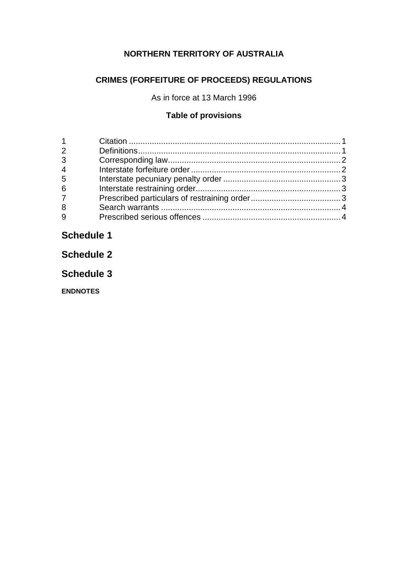## **NORTHERN TERRITORY OF AUSTRALIA**

# **CRIMES (FORFEITURE OF PROCEEDS) REGULATIONS**

As in force at 13 March 1996

## **Table of provisions**

| 2              |  |
|----------------|--|
| 3              |  |
| $\overline{4}$ |  |
| 5              |  |
| 6              |  |
| $\overline{7}$ |  |
| 8              |  |
| 9              |  |

# **Schedule 1**

**Schedule 2**

**Schedule 3**

**ENDNOTES**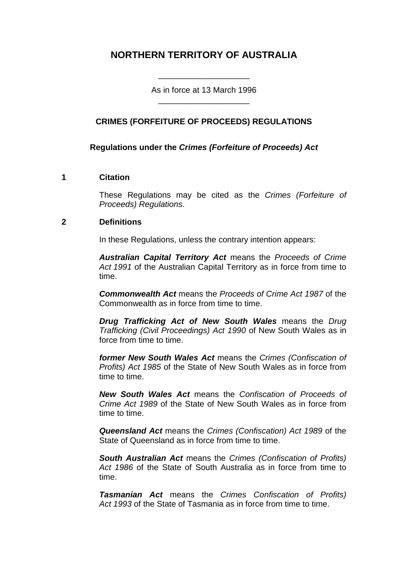# **NORTHERN TERRITORY OF AUSTRALIA**

As in force at 13 March 1996 \_\_\_\_\_\_\_\_\_\_\_\_\_\_\_\_\_\_\_\_

\_\_\_\_\_\_\_\_\_\_\_\_\_\_\_\_\_\_\_\_

## **CRIMES (FORFEITURE OF PROCEEDS) REGULATIONS**

## **Regulations under the** *Crimes (Forfeiture of Proceeds) Act*

#### **1 Citation**

These Regulations may be cited as the *Crimes (Forfeiture of Proceeds) Regulations*.

#### **2 Definitions**

In these Regulations, unless the contrary intention appears:

*Australian Capital Territory Act* means the *Proceeds of Crime Act 1991* of the Australian Capital Territory as in force from time to time.

*Commonwealth Act* means the *Proceeds of Crime Act 1987* of the Commonwealth as in force from time to time.

*Drug Trafficking Act of New South Wales* means the *Drug Trafficking (Civil Proceedings) Act 1990* of New South Wales as in force from time to time.

*former New South Wales Act* means the *Crimes (Confiscation of Profits) Act 1985* of the State of New South Wales as in force from time to time.

*New South Wales Act* means the *Confiscation of Proceeds of Crime Act 1989* of the State of New South Wales as in force from time to time.

*Queensland Act* means the *Crimes (Confiscation) Act 1989* of the State of Queensland as in force from time to time.

*South Australian Act* means the *Crimes (Confiscation of Profits) Act 1986* of the State of South Australia as in force from time to time.

*Tasmanian Act* means the *Crimes Confiscation of Profits)*  Act 1993 of the State of Tasmania as in force from time to time.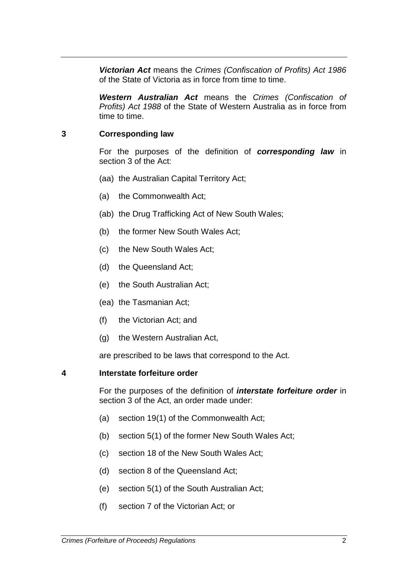*Victorian Act* means the *Crimes (Confiscation of Profits) Act 1986* of the State of Victoria as in force from time to time.

*Western Australian Act* means the *Crimes (Confiscation of Profits) Act 1988* of the State of Western Australia as in force from time to time.

#### **3 Corresponding law**

For the purposes of the definition of *corresponding law* in section 3 of the Act:

- (aa) the Australian Capital Territory Act;
- (a) the Commonwealth Act;
- (ab) the Drug Trafficking Act of New South Wales;
- (b) the former New South Wales Act;
- (c) the New South Wales Act;
- (d) the Queensland Act;
- (e) the South Australian Act;
- (ea) the Tasmanian Act;
- (f) the Victorian Act; and
- (g) the Western Australian Act,

are prescribed to be laws that correspond to the Act.

#### **4 Interstate forfeiture order**

For the purposes of the definition of *interstate forfeiture order* in section 3 of the Act, an order made under:

- (a) section 19(1) of the Commonwealth Act;
- (b) section 5(1) of the former New South Wales Act;
- (c) section 18 of the New South Wales Act;
- (d) section 8 of the Queensland Act;
- (e) section 5(1) of the South Australian Act;
- (f) section 7 of the Victorian Act; or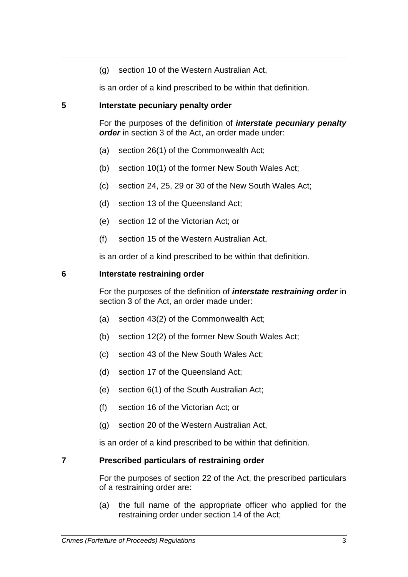(g) section 10 of the Western Australian Act,

is an order of a kind prescribed to be within that definition.

#### **5 Interstate pecuniary penalty order**

For the purposes of the definition of *interstate pecuniary penalty order* in section 3 of the Act, an order made under:

- (a) section 26(1) of the Commonwealth Act;
- (b) section 10(1) of the former New South Wales Act;
- (c) section 24, 25, 29 or 30 of the New South Wales Act;
- (d) section 13 of the Queensland Act;
- (e) section 12 of the Victorian Act; or
- (f) section 15 of the Western Australian Act,

is an order of a kind prescribed to be within that definition.

#### **6 Interstate restraining order**

For the purposes of the definition of *interstate restraining order* in section 3 of the Act, an order made under:

- (a) section 43(2) of the Commonwealth Act;
- (b) section 12(2) of the former New South Wales Act;
- (c) section 43 of the New South Wales Act;
- (d) section 17 of the Queensland Act;
- (e) section 6(1) of the South Australian Act;
- (f) section 16 of the Victorian Act; or
- (g) section 20 of the Western Australian Act,

is an order of a kind prescribed to be within that definition.

#### **7 Prescribed particulars of restraining order**

For the purposes of section 22 of the Act, the prescribed particulars of a restraining order are:

(a) the full name of the appropriate officer who applied for the restraining order under section 14 of the Act;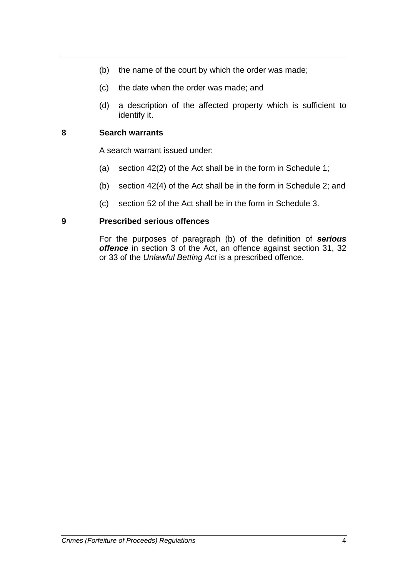- (b) the name of the court by which the order was made;
- (c) the date when the order was made; and
- (d) a description of the affected property which is sufficient to identify it.

## **8 Search warrants**

A search warrant issued under:

- (a) section 42(2) of the Act shall be in the form in Schedule 1;
- (b) section 42(4) of the Act shall be in the form in Schedule 2; and
- (c) section 52 of the Act shall be in the form in Schedule 3.

#### **9 Prescribed serious offences**

For the purposes of paragraph (b) of the definition of *serious offence* in section 3 of the Act, an offence against section 31, 32 or 33 of the *Unlawful Betting Act* is a prescribed offence.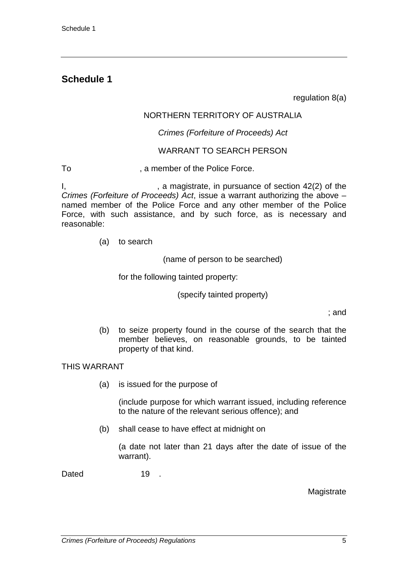# **Schedule 1**

regulation 8(a)

## NORTHERN TERRITORY OF AUSTRALIA

#### *Crimes (Forfeiture of Proceeds) Act*

#### WARRANT TO SEARCH PERSON

To **The Community**, a member of the Police Force.

 $I,$   $\blacksquare$ , a magistrate, in pursuance of section 42(2) of the *Crimes (Forfeiture of Proceeds) Act*, issue a warrant authorizing the above – named member of the Police Force and any other member of the Police Force, with such assistance, and by such force, as is necessary and reasonable:

(a) to search

(name of person to be searched)

for the following tainted property:

(specify tainted property)

; and

(b) to seize property found in the course of the search that the member believes, on reasonable grounds, to be tainted property of that kind.

THIS WARRANT

(a) is issued for the purpose of

(include purpose for which warrant issued, including reference to the nature of the relevant serious offence); and

(b) shall cease to have effect at midnight on

(a date not later than 21 days after the date of issue of the warrant).

Dated 19 .

**Magistrate**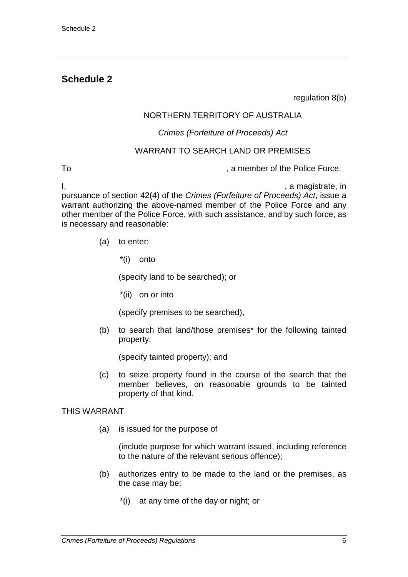# **Schedule 2**

regulation 8(b)

## NORTHERN TERRITORY OF AUSTRALIA

#### *Crimes (Forfeiture of Proceeds) Act*

#### WARRANT TO SEARCH LAND OR PREMISES

To **The Community Community** To contract the Police Force.

I, in the same state of the state of the state of the state of the state of the state of the state of the state of the state of the state of the state of the state of the state of the state of the state of the state of the

pursuance of section 42(4) of the *Crimes (Forfeiture of Proceeds) Act*, issue a warrant authorizing the above-named member of the Police Force and any other member of the Police Force, with such assistance, and by such force, as is necessary and reasonable:

- (a) to enter:
	- \*(i) onto

(specify land to be searched); or

\*(ii) on or into

(specify premises to be searched),

(b) to search that land/those premises\* for the following tainted property:

(specify tainted property); and

(c) to seize property found in the course of the search that the member believes, on reasonable grounds to be tainted property of that kind.

#### THIS WARRANT

(a) is issued for the purpose of

(include purpose for which warrant issued, including reference to the nature of the relevant serious offence);

- (b) authorizes entry to be made to the land or the premises, as the case may be:
	- \*(i) at any time of the day or night; or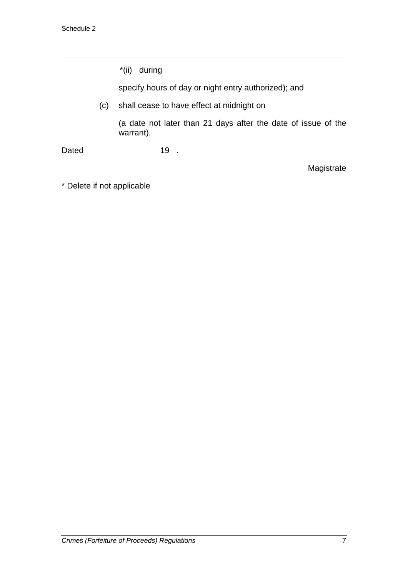|       |     | *(ii) during                                                               |
|-------|-----|----------------------------------------------------------------------------|
|       |     | specify hours of day or night entry authorized); and                       |
|       | (C) | shall cease to have effect at midnight on                                  |
|       |     | (a date not later than 21 days after the date of issue of the<br>warrant). |
| Dated |     | 19                                                                         |

\* Delete if not applicable

Magistrate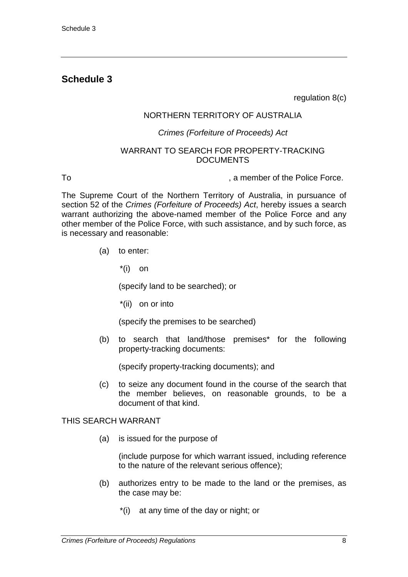# **Schedule 3**

regulation 8(c)

#### NORTHERN TERRITORY OF AUSTRALIA

#### *Crimes (Forfeiture of Proceeds) Act*

#### WARRANT TO SEARCH FOR PROPERTY-TRACKING DOCUMENTS

To **The Community Community** To contract the Police Force.

The Supreme Court of the Northern Territory of Australia, in pursuance of section 52 of the *Crimes (Forfeiture of Proceeds) Act*, hereby issues a search warrant authorizing the above-named member of the Police Force and any other member of the Police Force, with such assistance, and by such force, as is necessary and reasonable:

- (a) to enter:
	- $*(i)$  on

(specify land to be searched); or

\*(ii) on or into

(specify the premises to be searched)

(b) to search that land/those premises\* for the following property-tracking documents:

(specify property-tracking documents); and

(c) to seize any document found in the course of the search that the member believes, on reasonable grounds, to be a document of that kind.

#### THIS SEARCH WARRANT

(a) is issued for the purpose of

(include purpose for which warrant issued, including reference to the nature of the relevant serious offence);

- (b) authorizes entry to be made to the land or the premises, as the case may be:
	- \*(i) at any time of the day or night; or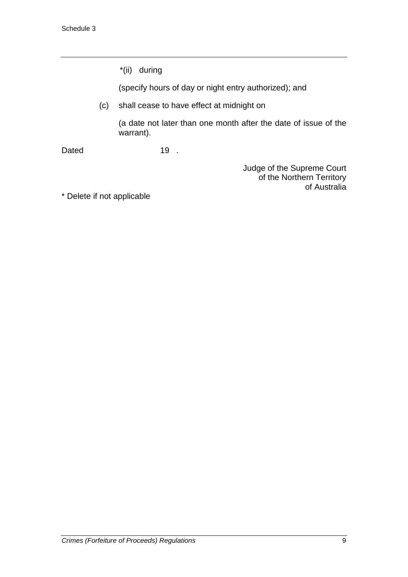\*(ii) during

(specify hours of day or night entry authorized); and

(c) shall cease to have effect at midnight on

(a date not later than one month after the date of issue of the warrant).

Dated 19 .

Judge of the Supreme Court of the Northern Territory of Australia

\* Delete if not applicable